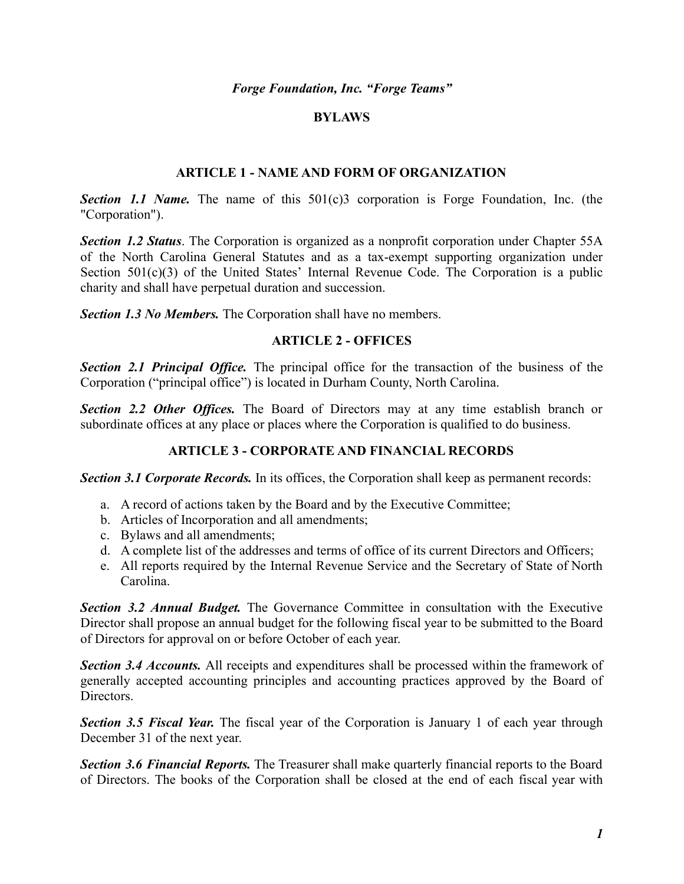*Forge Foundation, Inc. "Forge Teams"*

### **BYLAWS**

### **ARTICLE 1 - NAME AND FORM OF ORGANIZATION**

*Section 1.1 Name.* The name of this 501(c)3 corporation is Forge Foundation, Inc. (the "Corporation").

*Section 1.2 Status*. The Corporation is organized as a nonprofit corporation under Chapter 55A of the North Carolina General Statutes and as a tax-exempt supporting organization under Section 501(c)(3) of the United States' Internal Revenue Code. The Corporation is a public charity and shall have perpetual duration and succession.

*Section 1.3 No Members.* The Corporation shall have no members.

### **ARTICLE 2 - OFFICES**

*Section 2.1 Principal Office.* The principal office for the transaction of the business of the Corporation ("principal office") is located in Durham County, North Carolina.

*Section 2.2 Other Offices.* The Board of Directors may at any time establish branch or subordinate offices at any place or places where the Corporation is qualified to do business.

## **ARTICLE 3 - CORPORATE AND FINANCIAL RECORDS**

**Section 3.1 Corporate Records.** In its offices, the Corporation shall keep as permanent records:

- a. A record of actions taken by the Board and by the Executive Committee;
- b. Articles of Incorporation and all amendments;
- c. Bylaws and all amendments;
- d. A complete list of the addresses and terms of office of its current Directors and Officers;
- e. All reports required by the Internal Revenue Service and the Secretary of State of North Carolina.

*Section 3.2 Annual Budget.* The Governance Committee in consultation with the Executive Director shall propose an annual budget for the following fiscal year to be submitted to the Board of Directors for approval on or before October of each year.

*Section 3.4 Accounts.* All receipts and expenditures shall be processed within the framework of generally accepted accounting principles and accounting practices approved by the Board of Directors.

*Section 3.5 Fiscal Year.* The fiscal year of the Corporation is January 1 of each year through December 31 of the next year.

*Section 3.6 Financial Reports.* The Treasurer shall make quarterly financial reports to the Board of Directors. The books of the Corporation shall be closed at the end of each fiscal year with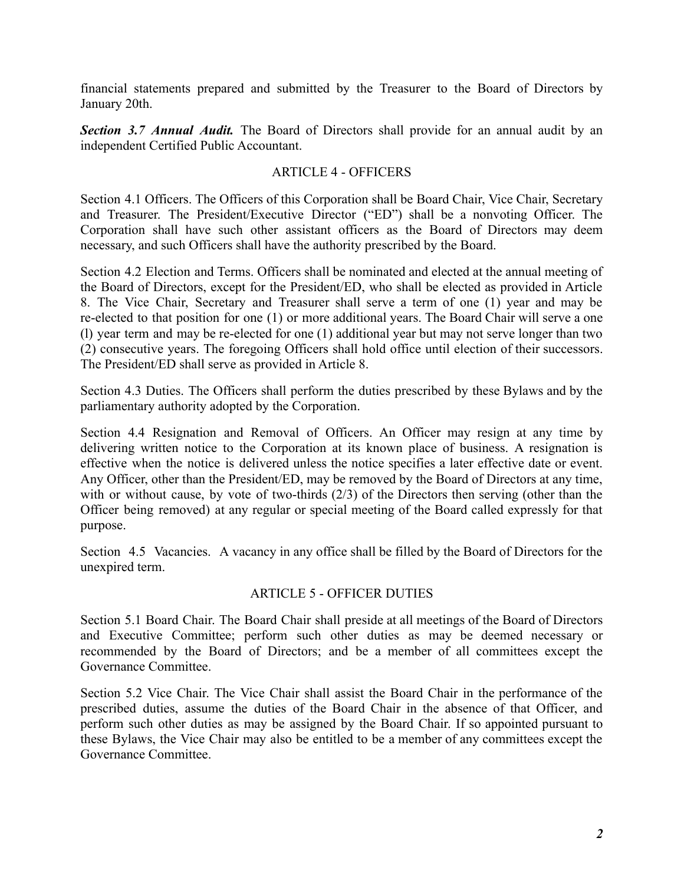financial statements prepared and submitted by the Treasurer to the Board of Directors by January 20th.

*Section 3.7 Annual Audit.* The Board of Directors shall provide for an annual audit by an independent Certified Public Accountant.

## ARTICLE 4 - OFFICERS

Section 4.1 Officers. The Officers of this Corporation shall be Board Chair, Vice Chair, Secretary and Treasurer. The President/Executive Director ("ED") shall be a nonvoting Officer. The Corporation shall have such other assistant officers as the Board of Directors may deem necessary, and such Officers shall have the authority prescribed by the Board.

Section 4.2 Election and Terms. Officers shall be nominated and elected at the annual meeting of the Board of Directors, except for the President/ED, who shall be elected as provided in Article 8. The Vice Chair, Secretary and Treasurer shall serve a term of one (1) year and may be re-elected to that position for one (1) or more additional years. The Board Chair will serve a one (l) year term and may be re-elected for one (1) additional year but may not serve longer than two (2) consecutive years. The foregoing Officers shall hold office until election of their successors. The President/ED shall serve as provided in Article 8.

Section 4.3 Duties. The Officers shall perform the duties prescribed by these Bylaws and by the parliamentary authority adopted by the Corporation.

Section 4.4 Resignation and Removal of Officers. An Officer may resign at any time by delivering written notice to the Corporation at its known place of business. A resignation is effective when the notice is delivered unless the notice specifies a later effective date or event. Any Officer, other than the President/ED, may be removed by the Board of Directors at any time, with or without cause, by vote of two-thirds (2/3) of the Directors then serving (other than the Officer being removed) at any regular or special meeting of the Board called expressly for that purpose.

Section 4.5 Vacancies. A vacancy in any office shall be filled by the Board of Directors for the unexpired term.

### ARTICLE 5 - OFFICER DUTIES

Section 5.1 Board Chair. The Board Chair shall preside at all meetings of the Board of Directors and Executive Committee; perform such other duties as may be deemed necessary or recommended by the Board of Directors; and be a member of all committees except the Governance Committee.

Section 5.2 Vice Chair. The Vice Chair shall assist the Board Chair in the performance of the prescribed duties, assume the duties of the Board Chair in the absence of that Officer, and perform such other duties as may be assigned by the Board Chair. If so appointed pursuant to these Bylaws, the Vice Chair may also be entitled to be a member of any committees except the Governance Committee.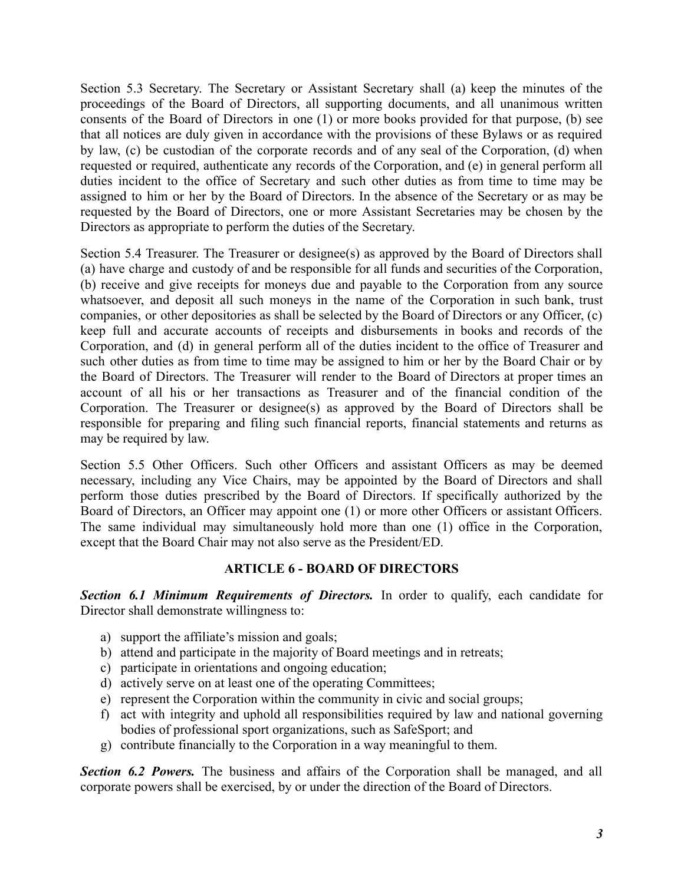Section 5.3 Secretary. The Secretary or Assistant Secretary shall (a) keep the minutes of the proceedings of the Board of Directors, all supporting documents, and all unanimous written consents of the Board of Directors in one (1) or more books provided for that purpose, (b) see that all notices are duly given in accordance with the provisions of these Bylaws or as required by law, (c) be custodian of the corporate records and of any seal of the Corporation, (d) when requested or required, authenticate any records of the Corporation, and (e) in general perform all duties incident to the office of Secretary and such other duties as from time to time may be assigned to him or her by the Board of Directors. In the absence of the Secretary or as may be requested by the Board of Directors, one or more Assistant Secretaries may be chosen by the Directors as appropriate to perform the duties of the Secretary.

Section 5.4 Treasurer. The Treasurer or designee(s) as approved by the Board of Directors shall (a) have charge and custody of and be responsible for all funds and securities of the Corporation, (b) receive and give receipts for moneys due and payable to the Corporation from any source whatsoever, and deposit all such moneys in the name of the Corporation in such bank, trust companies, or other depositories as shall be selected by the Board of Directors or any Officer, (c) keep full and accurate accounts of receipts and disbursements in books and records of the Corporation, and (d) in general perform all of the duties incident to the office of Treasurer and such other duties as from time to time may be assigned to him or her by the Board Chair or by the Board of Directors. The Treasurer will render to the Board of Directors at proper times an account of all his or her transactions as Treasurer and of the financial condition of the Corporation. The Treasurer or designee(s) as approved by the Board of Directors shall be responsible for preparing and filing such financial reports, financial statements and returns as may be required by law.

Section 5.5 Other Officers. Such other Officers and assistant Officers as may be deemed necessary, including any Vice Chairs, may be appointed by the Board of Directors and shall perform those duties prescribed by the Board of Directors. If specifically authorized by the Board of Directors, an Officer may appoint one (1) or more other Officers or assistant Officers. The same individual may simultaneously hold more than one (1) office in the Corporation, except that the Board Chair may not also serve as the President/ED.

## **ARTICLE 6 - BOARD OF DIRECTORS**

*Section 6.1 Minimum Requirements of Directors.* In order to qualify, each candidate for Director shall demonstrate willingness to:

- a) support the affiliate's mission and goals;
- b) attend and participate in the majority of Board meetings and in retreats;
- c) participate in orientations and ongoing education;
- d) actively serve on at least one of the operating Committees;
- e) represent the Corporation within the community in civic and social groups;
- f) act with integrity and uphold all responsibilities required by law and national governing bodies of professional sport organizations, such as SafeSport; and
- g) contribute financially to the Corporation in a way meaningful to them.

*Section 6.2 Powers.* The business and affairs of the Corporation shall be managed, and all corporate powers shall be exercised, by or under the direction of the Board of Directors.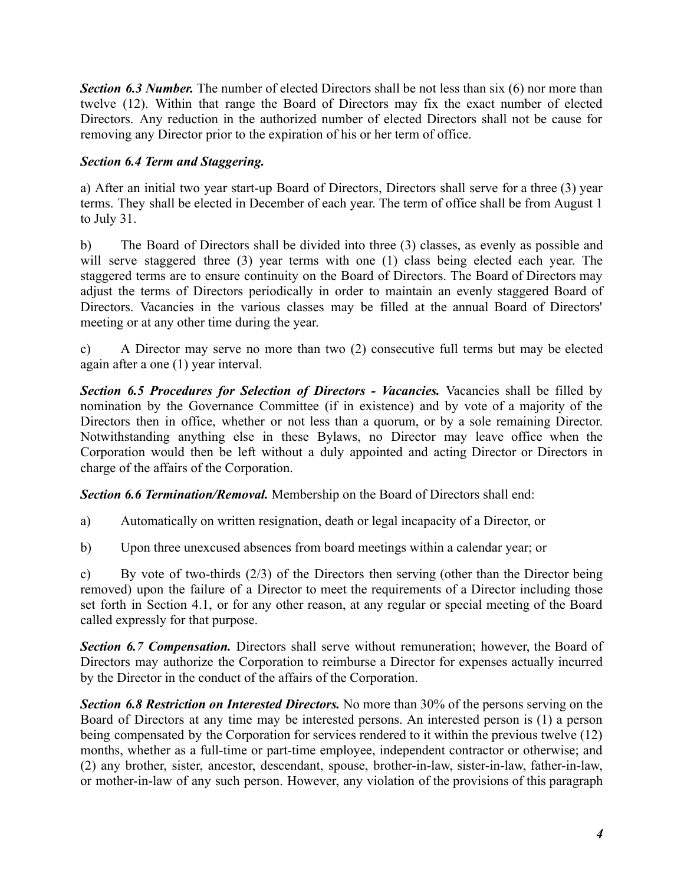*Section 6.3 Number.* The number of elected Directors shall be not less than six (6) nor more than twelve (12). Within that range the Board of Directors may fix the exact number of elected Directors. Any reduction in the authorized number of elected Directors shall not be cause for removing any Director prior to the expiration of his or her term of office.

# *Section 6.4 Term and Staggering.*

a) After an initial two year start-up Board of Directors, Directors shall serve for a three (3) year terms. They shall be elected in December of each year. The term of office shall be from August 1 to July 31.

b) The Board of Directors shall be divided into three (3) classes, as evenly as possible and will serve staggered three (3) year terms with one (1) class being elected each year. The staggered terms are to ensure continuity on the Board of Directors. The Board of Directors may adjust the terms of Directors periodically in order to maintain an evenly staggered Board of Directors. Vacancies in the various classes may be filled at the annual Board of Directors' meeting or at any other time during the year.

c) A Director may serve no more than two (2) consecutive full terms but may be elected again after a one (1) year interval.

*Section 6.5 Procedures for Selection of Directors - Vacancies.* Vacancies shall be filled by nomination by the Governance Committee (if in existence) and by vote of a majority of the Directors then in office, whether or not less than a quorum, or by a sole remaining Director. Notwithstanding anything else in these Bylaws, no Director may leave office when the Corporation would then be left without a duly appointed and acting Director or Directors in charge of the affairs of the Corporation.

*Section 6.6 Termination/Removal.* Membership on the Board of Directors shall end:

a) Automatically on written resignation, death or legal incapacity of a Director, or

b) Upon three unexcused absences from board meetings within a calendar year; or

c) By vote of two-thirds (2/3) of the Directors then serving (other than the Director being removed) upon the failure of a Director to meet the requirements of a Director including those set forth in Section 4.1, or for any other reason, at any regular or special meeting of the Board called expressly for that purpose.

*Section 6.7 Compensation.* Directors shall serve without remuneration; however, the Board of Directors may authorize the Corporation to reimburse a Director for expenses actually incurred by the Director in the conduct of the affairs of the Corporation.

*Section 6.8 Restriction on Interested Directors.* No more than 30% of the persons serving on the Board of Directors at any time may be interested persons. An interested person is (1) a person being compensated by the Corporation for services rendered to it within the previous twelve (12) months, whether as a full-time or part-time employee, independent contractor or otherwise; and (2) any brother, sister, ancestor, descendant, spouse, brother-in-law, sister-in-law, father-in-law, or mother-in-law of any such person. However, any violation of the provisions of this paragraph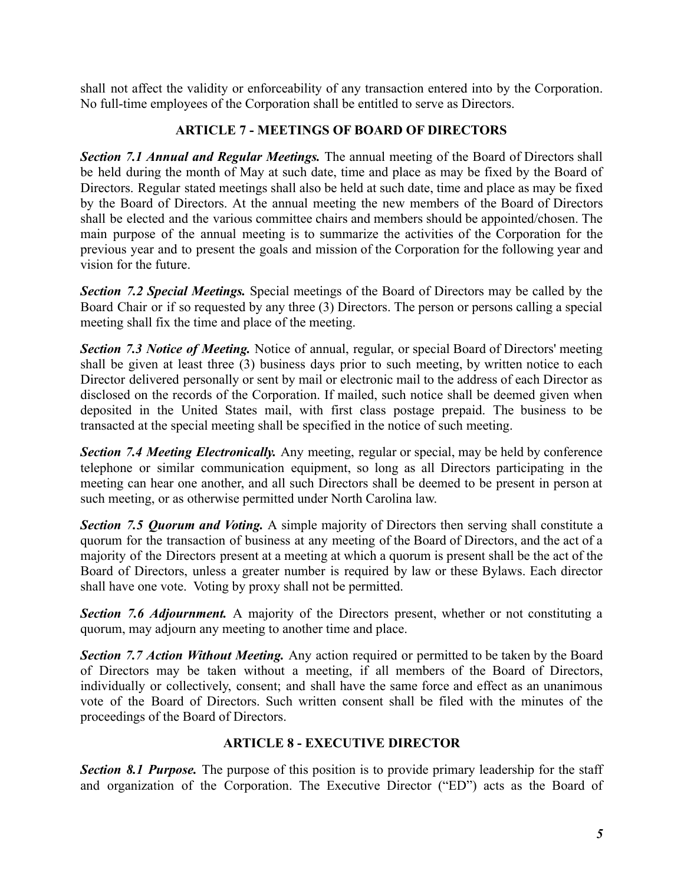shall not affect the validity or enforceability of any transaction entered into by the Corporation. No full-time employees of the Corporation shall be entitled to serve as Directors.

# **ARTICLE 7 - MEETINGS OF BOARD OF DIRECTORS**

*Section 7.1 Annual and Regular Meetings.* The annual meeting of the Board of Directors shall be held during the month of May at such date, time and place as may be fixed by the Board of Directors. Regular stated meetings shall also be held at such date, time and place as may be fixed by the Board of Directors. At the annual meeting the new members of the Board of Directors shall be elected and the various committee chairs and members should be appointed/chosen. The main purpose of the annual meeting is to summarize the activities of the Corporation for the previous year and to present the goals and mission of the Corporation for the following year and vision for the future.

*Section 7.2 Special Meetings.* Special meetings of the Board of Directors may be called by the Board Chair or if so requested by any three (3) Directors. The person or persons calling a special meeting shall fix the time and place of the meeting.

*Section 7.3 Notice of Meeting.* Notice of annual, regular, or special Board of Directors' meeting shall be given at least three (3) business days prior to such meeting, by written notice to each Director delivered personally or sent by mail or electronic mail to the address of each Director as disclosed on the records of the Corporation. If mailed, such notice shall be deemed given when deposited in the United States mail, with first class postage prepaid. The business to be transacted at the special meeting shall be specified in the notice of such meeting.

*Section 7.4 Meeting Electronically.* Any meeting, regular or special, may be held by conference telephone or similar communication equipment, so long as all Directors participating in the meeting can hear one another, and all such Directors shall be deemed to be present in person at such meeting, or as otherwise permitted under North Carolina law.

*Section 7.5 Quorum and Voting.* A simple majority of Directors then serving shall constitute a quorum for the transaction of business at any meeting of the Board of Directors, and the act of a majority of the Directors present at a meeting at which a quorum is present shall be the act of the Board of Directors, unless a greater number is required by law or these Bylaws. Each director shall have one vote. Voting by proxy shall not be permitted.

*Section 7.6 Adjournment.* A majority of the Directors present, whether or not constituting a quorum, may adjourn any meeting to another time and place.

*Section 7.7 Action Without Meeting.* Any action required or permitted to be taken by the Board of Directors may be taken without a meeting, if all members of the Board of Directors, individually or collectively, consent; and shall have the same force and effect as an unanimous vote of the Board of Directors. Such written consent shall be filed with the minutes of the proceedings of the Board of Directors.

## **ARTICLE 8 - EXECUTIVE DIRECTOR**

*Section 8.1 Purpose.* The purpose of this position is to provide primary leadership for the staff and organization of the Corporation. The Executive Director ("ED") acts as the Board of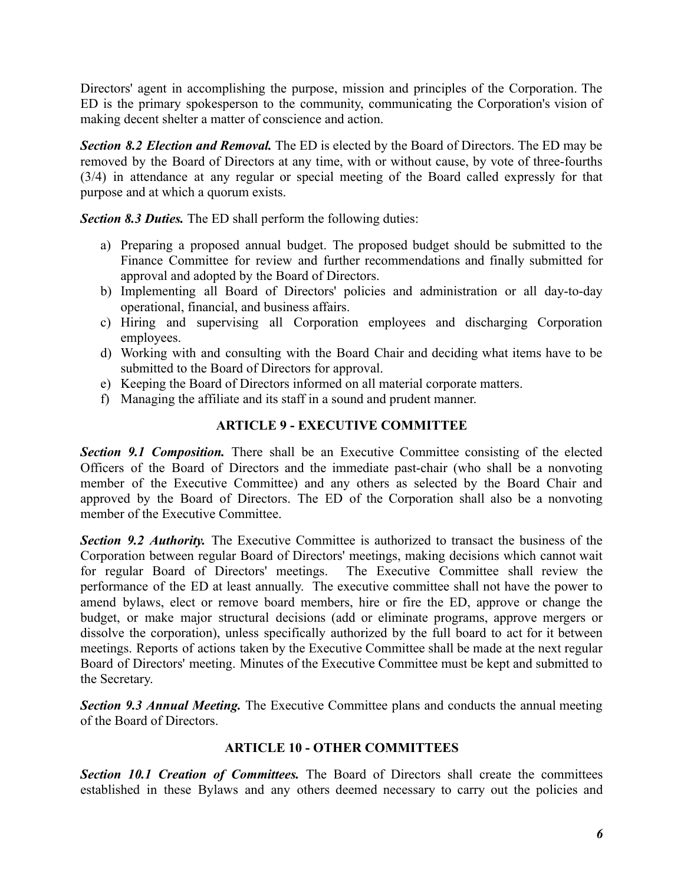Directors' agent in accomplishing the purpose, mission and principles of the Corporation. The ED is the primary spokesperson to the community, communicating the Corporation's vision of making decent shelter a matter of conscience and action.

*Section 8.2 Election and Removal.* The ED is elected by the Board of Directors. The ED may be removed by the Board of Directors at any time, with or without cause, by vote of three-fourths (3/4) in attendance at any regular or special meeting of the Board called expressly for that purpose and at which a quorum exists.

*Section 8.3 Duties.* The ED shall perform the following duties:

- a) Preparing a proposed annual budget. The proposed budget should be submitted to the Finance Committee for review and further recommendations and finally submitted for approval and adopted by the Board of Directors.
- b) Implementing all Board of Directors' policies and administration or all day-to-day operational, financial, and business affairs.
- c) Hiring and supervising all Corporation employees and discharging Corporation employees.
- d) Working with and consulting with the Board Chair and deciding what items have to be submitted to the Board of Directors for approval.
- e) Keeping the Board of Directors informed on all material corporate matters.
- f) Managing the affiliate and its staff in a sound and prudent manner.

## **ARTICLE 9 - EXECUTIVE COMMITTEE**

*Section 9.1 Composition.* There shall be an Executive Committee consisting of the elected Officers of the Board of Directors and the immediate past-chair (who shall be a nonvoting member of the Executive Committee) and any others as selected by the Board Chair and approved by the Board of Directors. The ED of the Corporation shall also be a nonvoting member of the Executive Committee.

*Section 9.2 Authority.* The Executive Committee is authorized to transact the business of the Corporation between regular Board of Directors' meetings, making decisions which cannot wait for regular Board of Directors' meetings. The Executive Committee shall review the performance of the ED at least annually. The executive committee shall not have the power to amend bylaws, elect or remove board members, hire or fire the ED, approve or change the budget, or make major structural decisions (add or eliminate programs, approve mergers or dissolve the corporation), unless specifically authorized by the full board to act for it between meetings. Reports of actions taken by the Executive Committee shall be made at the next regular Board of Directors' meeting. Minutes of the Executive Committee must be kept and submitted to the Secretary.

*Section 9.3 Annual Meeting.* The Executive Committee plans and conducts the annual meeting of the Board of Directors.

## **ARTICLE 10 - OTHER COMMITTEES**

*Section 10.1 Creation of Committees.* The Board of Directors shall create the committees established in these Bylaws and any others deemed necessary to carry out the policies and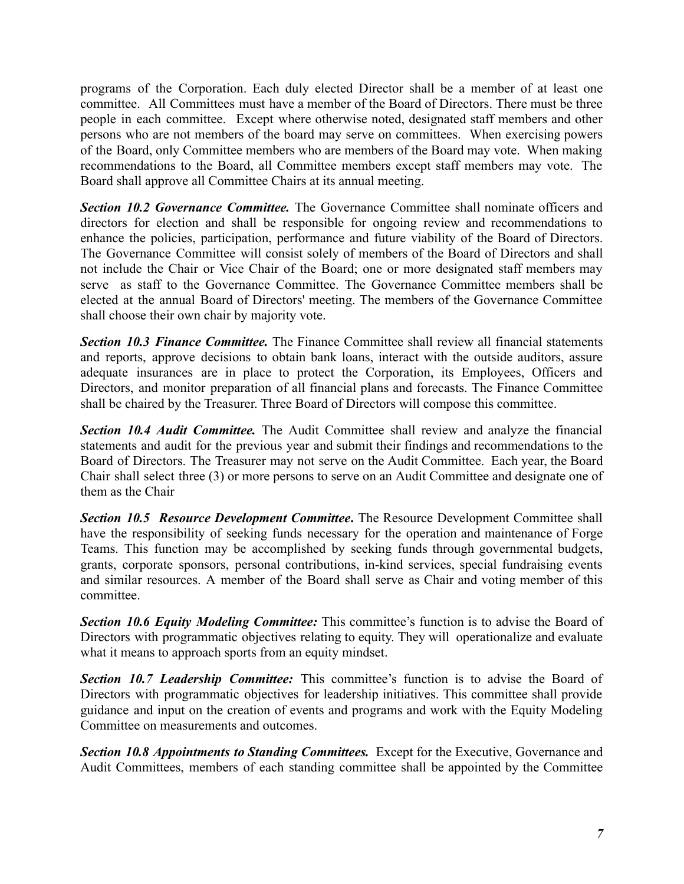programs of the Corporation. Each duly elected Director shall be a member of at least one committee. All Committees must have a member of the Board of Directors. There must be three people in each committee. Except where otherwise noted, designated staff members and other persons who are not members of the board may serve on committees. When exercising powers of the Board, only Committee members who are members of the Board may vote. When making recommendations to the Board, all Committee members except staff members may vote. The Board shall approve all Committee Chairs at its annual meeting.

*Section 10.2 Governance Committee.* The Governance Committee shall nominate officers and directors for election and shall be responsible for ongoing review and recommendations to enhance the policies, participation, performance and future viability of the Board of Directors. The Governance Committee will consist solely of members of the Board of Directors and shall not include the Chair or Vice Chair of the Board; one or more designated staff members may serve as staff to the Governance Committee. The Governance Committee members shall be elected at the annual Board of Directors' meeting. The members of the Governance Committee shall choose their own chair by majority vote.

*Section 10.3 Finance Committee.* The Finance Committee shall review all financial statements and reports, approve decisions to obtain bank loans, interact with the outside auditors, assure adequate insurances are in place to protect the Corporation, its Employees, Officers and Directors, and monitor preparation of all financial plans and forecasts. The Finance Committee shall be chaired by the Treasurer. Three Board of Directors will compose this committee.

*Section 10.4 Audit Committee.* The Audit Committee shall review and analyze the financial statements and audit for the previous year and submit their findings and recommendations to the Board of Directors. The Treasurer may not serve on the Audit Committee. Each year, the Board Chair shall select three (3) or more persons to serve on an Audit Committee and designate one of them as the Chair

*Section 10.5 Resource Development Committee***.** The Resource Development Committee shall have the responsibility of seeking funds necessary for the operation and maintenance of Forge Teams. This function may be accomplished by seeking funds through governmental budgets, grants, corporate sponsors, personal contributions, in-kind services, special fundraising events and similar resources. A member of the Board shall serve as Chair and voting member of this committee.

*Section 10.6 Equity Modeling Committee:* This committee's function is to advise the Board of Directors with programmatic objectives relating to equity. They will operationalize and evaluate what it means to approach sports from an equity mindset.

*Section 10.7 Leadership Committee:* This committee's function is to advise the Board of Directors with programmatic objectives for leadership initiatives. This committee shall provide guidance and input on the creation of events and programs and work with the Equity Modeling Committee on measurements and outcomes.

*Section 10.8 Appointments to Standing Committees.* Except for the Executive, Governance and Audit Committees, members of each standing committee shall be appointed by the Committee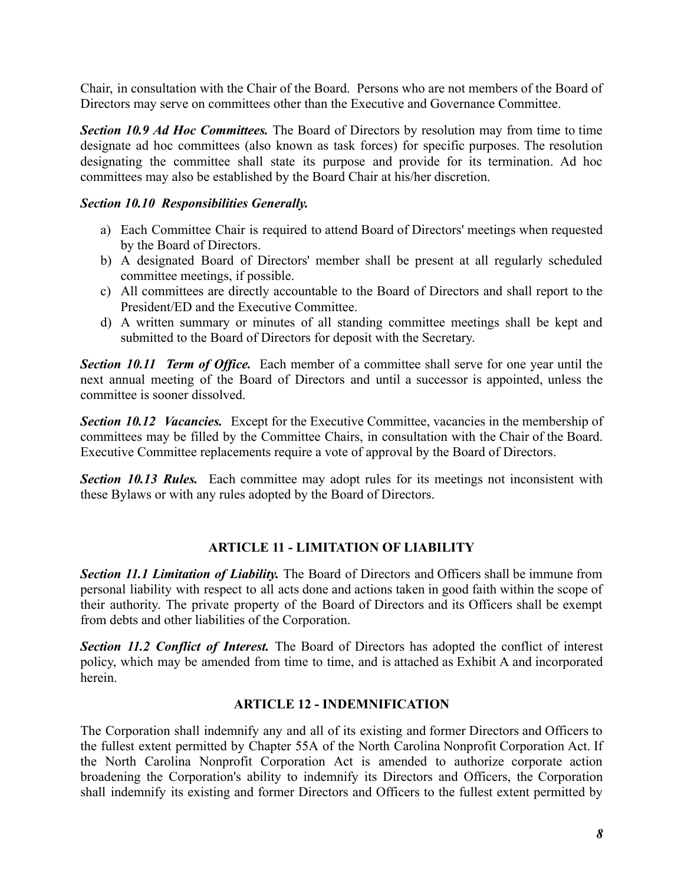Chair, in consultation with the Chair of the Board. Persons who are not members of the Board of Directors may serve on committees other than the Executive and Governance Committee.

*Section 10.9 Ad Hoc Committees.* The Board of Directors by resolution may from time to time designate ad hoc committees (also known as task forces) for specific purposes. The resolution designating the committee shall state its purpose and provide for its termination. Ad hoc committees may also be established by the Board Chair at his/her discretion.

## *Section 10.10 Responsibilities Generally.*

- a) Each Committee Chair is required to attend Board of Directors' meetings when requested by the Board of Directors.
- b) A designated Board of Directors' member shall be present at all regularly scheduled committee meetings, if possible.
- c) All committees are directly accountable to the Board of Directors and shall report to the President/ED and the Executive Committee.
- d) A written summary or minutes of all standing committee meetings shall be kept and submitted to the Board of Directors for deposit with the Secretary.

*Section 10.11 Term of Office.* Each member of a committee shall serve for one year until the next annual meeting of the Board of Directors and until a successor is appointed, unless the committee is sooner dissolved.

*Section 10.12 Vacancies.* Except for the Executive Committee, vacancies in the membership of committees may be filled by the Committee Chairs, in consultation with the Chair of the Board. Executive Committee replacements require a vote of approval by the Board of Directors.

*Section 10.13 Rules.* Each committee may adopt rules for its meetings not inconsistent with these Bylaws or with any rules adopted by the Board of Directors.

## **ARTICLE 11 - LIMITATION OF LIABILITY**

*Section 11.1 Limitation of Liability.* The Board of Directors and Officers shall be immune from personal liability with respect to all acts done and actions taken in good faith within the scope of their authority. The private property of the Board of Directors and its Officers shall be exempt from debts and other liabilities of the Corporation.

*Section 11.2 Conflict of Interest.* The Board of Directors has adopted the conflict of interest policy, which may be amended from time to time, and is attached as Exhibit A and incorporated herein.

## **ARTICLE 12 - INDEMNIFICATION**

The Corporation shall indemnify any and all of its existing and former Directors and Officers to the fullest extent permitted by Chapter 55A of the North Carolina Nonprofit Corporation Act. If the North Carolina Nonprofit Corporation Act is amended to authorize corporate action broadening the Corporation's ability to indemnify its Directors and Officers, the Corporation shall indemnify its existing and former Directors and Officers to the fullest extent permitted by